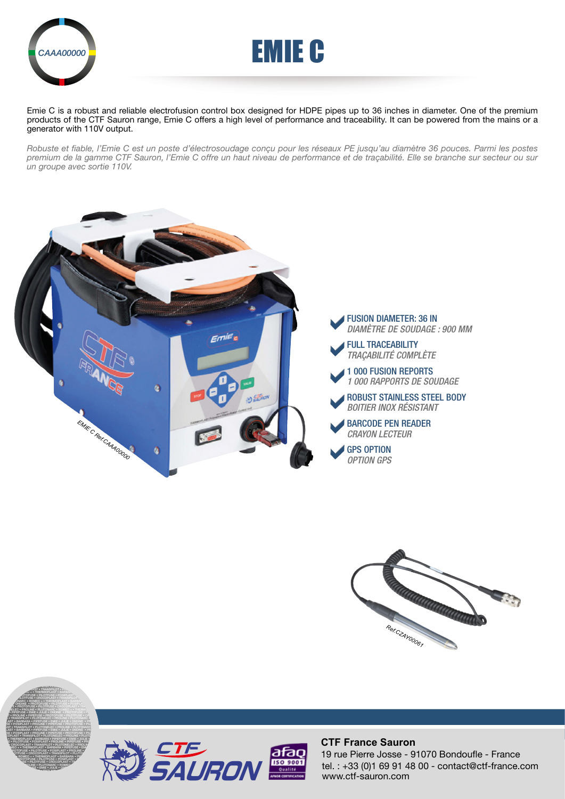

PROLINE • PIPEFUSE • PROTOFUSE • PILOTFUSE • CROCOPLAST • TRANSPILOT • THERMOPLAST • PIPEFUSE • EMIE • PILOTFUSE • PILOTFUSE • PILOTFUSE • PILOTFUSE • PRODUCTS **PILOT • TRANSPILOT • PLUT PLOTON • THERMOPLAST • BARBARA • JULIE • PILOTFUSE • POSIPLAST • PROLINE • PROPERTIES PROTOCOPLAST • TRANSPILOT • PLUT OF PROPERTIES PROVIDED + • THERMOPLAST • BARBAR EMIE • PROTOFUSE • PILOTFUSE • POSIPLAST • PROTOFUSE E** • PROTOFUSE • PILOTFUSE • CROCOPLAST • TRANSPILOTED **RE FLEC • PROLINE • PLUTONARC • ROMEO + • THERMOPLAST •** FARBARA • PIPEFUSE • EMIE • JULIE • ONDINE • PROTOFUSE • P.<br>In • Proline • Pipefuse • Protofuse • pilotfuse • crocop • TRANSPILOT • PLUTONELEC • PROLINE • PLUTONARC • ROMEO + LAST • BARBARA • PIPEFUSE • EMIE • JULIE • ONDINE • PROTO



Emie C is a robust and reliable electrofusion control box designed for HDPE pipes up to 36 inches in diameter. One of the premium products of the CTF Sauron range, Emie C offers a high level of performance and traceability. It can be powered from the mains or a generator with 110V output.

*Robuste et fiable, l'Emie C est un poste d'électrosoudage conçu pour les réseaux PE jusqu'au diamètre 36 pouces. Parmi les postes premium de la gamme CTF Sauron, l'Emie C offre un haut niveau de performance et de traçabilité. Elle se branche sur secteur ou sur un groupe avec sortie 110V.*







## **CTF France Sauron**

tel. : +33 (0)1 69 91 48 00 - contact@ctf-france.com www.ctf-sauron.com 19 rue Pierre Josse - 91070 Bondoufle - France